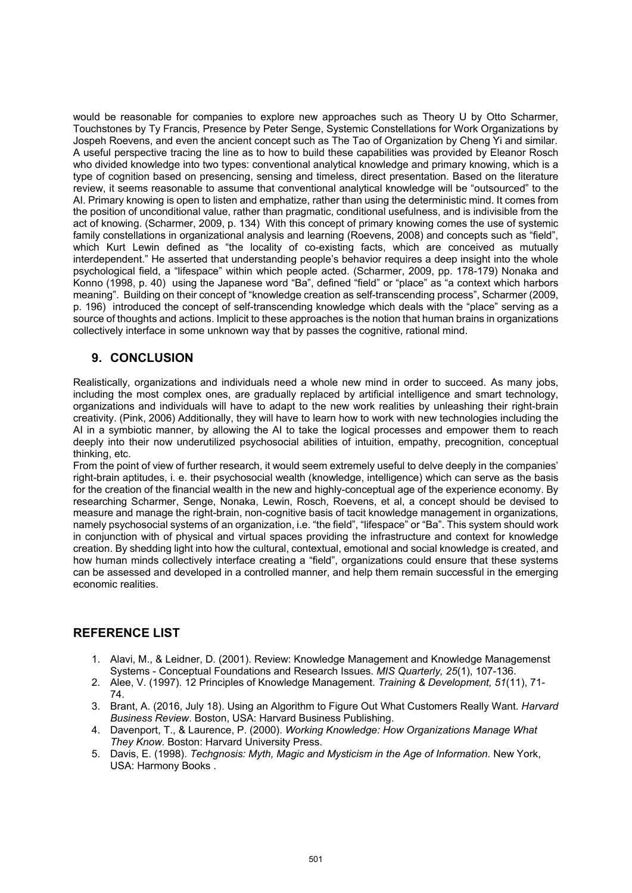would be reasonable for companies to explore new approaches such as Theory U by Otto Scharmer, Touchstones by Ty Francis, Presence by Peter Senge, Systemic Constellations for Work Organizations by Jospeh Roevens, and even the ancient concept such as The Tao of Organization by Cheng Yi and similar. A useful perspective tracing the line as to how to build these capabilities was provided by Eleanor Rosch who divided knowledge into two types: conventional analytical knowledge and primary knowing, which is a type of cognition based on presencing, sensing and timeless, direct presentation. Based on the literature review, it seems reasonable to assume that conventional analytical knowledge will be "outsourced" to the AI. Primary knowing is open to listen and emphatize, rather than using the deterministic mind. It comes from the position of unconditional value, rather than pragmatic, conditional usefulness, and is indivisible from the act of knowing. (Scharmer, 2009, p. 134) With this concept of primary knowing comes the use of systemic family constellations in organizational analysis and learning (Roevens, 2008) and concepts such as "field", which Kurt Lewin defined as "the locality of co-existing facts, which are conceived as mutually interdependent." He asserted that understanding people's behavior requires a deep insight into the whole psychological field, a "lifespace" within which people acted. (Scharmer, 2009, pp. 178-179) Nonaka and Konno (1998, p. 40) using the Japanese word "Ba", defined "field" or "place" as "a context which harbors meaning". Building on their concept of "knowledge creation as self-transcending process", Scharmer (2009, p. 196) introduced the concept of self-transcending knowledge which deals with the "place" serving as a source of thoughts and actions. Implicit to these approaches is the notion that human brains in organizations collectively interface in some unknown way that by passes the cognitive, rational mind.

## **9. CONCLUSION**

Realistically, organizations and individuals need a whole new mind in order to succeed. As many jobs, including the most complex ones, are gradually replaced by artificial intelligence and smart technology, organizations and individuals will have to adapt to the new work realities by unleashing their right-brain creativity. (Pink, 2006) Additionally, they will have to learn how to work with new technologies including the AI in a symbiotic manner, by allowing the AI to take the logical processes and empower them to reach deeply into their now underutilized psychosocial abilities of intuition, empathy, precognition, conceptual thinking, etc.

From the point of view of further research, it would seem extremely useful to delve deeply in the companies' right-brain aptitudes, i. e. their psychosocial wealth (knowledge, intelligence) which can serve as the basis for the creation of the financial wealth in the new and highly-conceptual age of the experience economy. By researching Scharmer, Senge, Nonaka, Lewin, Rosch, Roevens, et al, a concept should be devised to measure and manage the right-brain, non-cognitive basis of tacit knowledge management in organizations, namely psychosocial systems of an organization, i.e. "the field", "lifespace" or "Ba". This system should work in conjunction with of physical and virtual spaces providing the infrastructure and context for knowledge creation. By shedding light into how the cultural, contextual, emotional and social knowledge is created, and how human minds collectively interface creating a "field", organizations could ensure that these systems can be assessed and developed in a controlled manner, and help them remain successful in the emerging economic realities.

## **REFERENCE LIST**

- 1. Alavi, M., & Leidner, D. (2001). Review: Knowledge Management and Knowledge Managemenst Systems - Conceptual Foundations and Research Issues. *MIS Quarterly, 25*(1), 107-136.
- 2. Alee, V. (1997). 12 Principles of Knowledge Management. *Training & Development, 51*(11), 71- 74.
- 3. Brant, A. (2016, July 18). Using an Algorithm to Figure Out What Customers Really Want. *Harvard Business Review*. Boston, USA: Harvard Business Publishing.
- 4. Davenport, T., & Laurence, P. (2000). *Working Knowledge: How Organizations Manage What They Know.* Boston: Harvard University Press.
- 5. Davis, E. (1998). *Techgnosis: Myth, Magic and Mysticism in the Age of Information.* New York, USA: Harmony Books .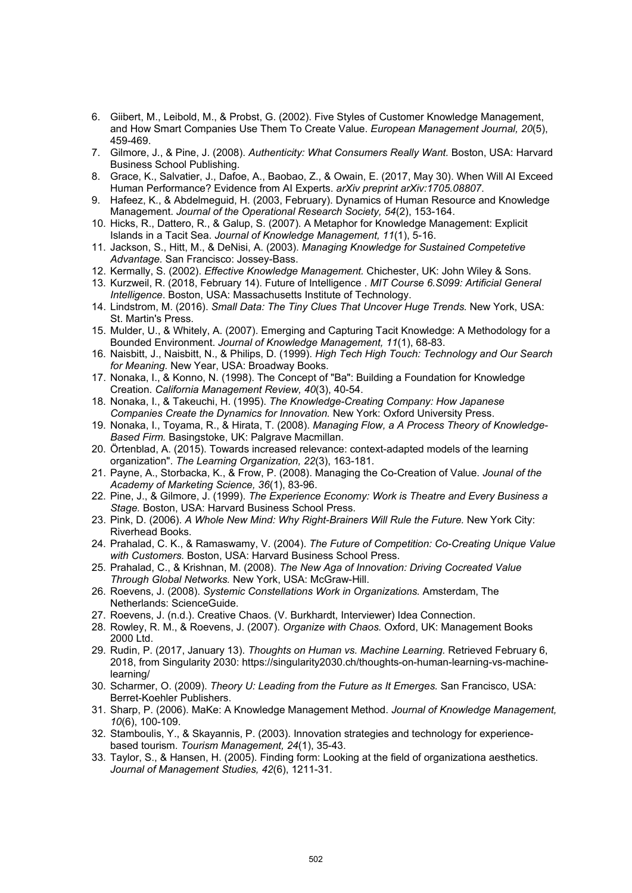- 6. Giibert, M., Leibold, M., & Probst, G. (2002). Five Styles of Customer Knowledge Management, and How Smart Companies Use Them To Create Value. *European Management Journal, 20*(5), 459-469.
- 7. Gilmore, J., & Pine, J. (2008). *Authenticity: What Consumers Really Want.* Boston, USA: Harvard Business School Publishing.
- 8. Grace, K., Salvatier, J., Dafoe, A., Baobao, Z., & Owain, E. (2017, May 30). When Will AI Exceed Human Performance? Evidence from AI Experts. *arXiv preprint arXiv:1705.08807*.
- 9. Hafeez, K., & Abdelmeguid, H. (2003, February). Dynamics of Human Resource and Knowledge Management. *Journal of the Operational Research Society, 54*(2), 153-164.
- 10. Hicks, R., Dattero, R., & Galup, S. (2007). A Metaphor for Knowledge Management: Explicit Islands in a Tacit Sea. *Journal of Knowledge Management, 11*(1), 5-16.
- 11. Jackson, S., Hitt, M., & DeNisi, A. (2003). *Managing Knowledge for Sustained Competetive Advantage.* San Francisco: Jossey-Bass.
- 12. Kermally, S. (2002). *Effective Knowledge Management.* Chichester, UK: John Wiley & Sons.
- 13. Kurzweil, R. (2018, February 14). Future of Intelligence . *MIT Course 6.S099: Artificial General Intelligence*. Boston, USA: Massachusetts Institute of Technology.
- 14. Lindstrom, M. (2016). *Small Data: The Tiny Clues That Uncover Huge Trends.* New York, USA: St. Martin's Press.
- 15. Mulder, U., & Whitely, A. (2007). Emerging and Capturing Tacit Knowledge: A Methodology for a Bounded Environment. *Journal of Knowledge Management, 11*(1), 68-83.
- 16. Naisbitt, J., Naisbitt, N., & Philips, D. (1999). *High Tech High Touch: Technology and Our Search for Meaning.* New Year, USA: Broadway Books.
- 17. Nonaka, I., & Konno, N. (1998). The Concept of "Ba": Building a Foundation for Knowledge Creation. *California Management Review, 40*(3), 40-54.
- 18. Nonaka, I., & Takeuchi, H. (1995). *The Knowledge-Creating Company: How Japanese Companies Create the Dynamics for Innovation.* New York: Oxford University Press.
- 19. Nonaka, I., Toyama, R., & Hirata, T. (2008). *Managing Flow, a A Process Theory of Knowledge-Based Firm.* Basingstoke, UK: Palgrave Macmillan.
- 20. Örtenblad, A. (2015). Towards increased relevance: context-adapted models of the learning organization". *The Learning Organization, 22*(3), 163-181.
- 21. Payne, A., Storbacka, K., & Frow, P. (2008). Managing the Co-Creation of Value. *Jounal of the Academy of Marketing Science, 36*(1), 83-96.
- 22. Pine, J., & Gilmore, J. (1999). *The Experience Economy: Work is Theatre and Every Business a Stage.* Boston, USA: Harvard Business School Press.
- 23. Pink, D. (2006). *A Whole New Mind: Why Right-Brainers Will Rule the Future.* New York City: Riverhead Books.
- 24. Prahalad, C. K., & Ramaswamy, V. (2004). *The Future of Competition: Co-Creating Unique Value with Customers.* Boston, USA: Harvard Business School Press.
- 25. Prahalad, C., & Krishnan, M. (2008). *The New Aga of Innovation: Driving Cocreated Value Through Global Networks.* New York, USA: McGraw-Hill.
- 26. Roevens, J. (2008). *Systemic Constellations Work in Organizations.* Amsterdam, The Netherlands: ScienceGuide.
- 27. Roevens, J. (n.d.). Creative Chaos. (V. Burkhardt, Interviewer) Idea Connection.
- 28. Rowley, R. M., & Roevens, J. (2007). *Organize with Chaos.* Oxford, UK: Management Books 2000 Ltd.
- 29. Rudin, P. (2017, January 13). *Thoughts on Human vs. Machine Learning.* Retrieved February 6, 2018, from Singularity 2030: https://singularity2030.ch/thoughts-on-human-learning-vs-machinelearning/
- 30. Scharmer, O. (2009). *Theory U: Leading from the Future as It Emerges.* San Francisco, USA: Berret-Koehler Publishers.
- 31. Sharp, P. (2006). MaKe: A Knowledge Management Method. *Journal of Knowledge Management, 10*(6), 100-109.
- 32. Stamboulis, Y., & Skayannis, P. (2003). Innovation strategies and technology for experiencebased tourism. *Tourism Management, 24*(1), 35-43.
- 33. Taylor, S., & Hansen, H. (2005). Finding form: Looking at the field of organizationa aesthetics. *Journal of Management Studies, 42*(6), 1211-31.